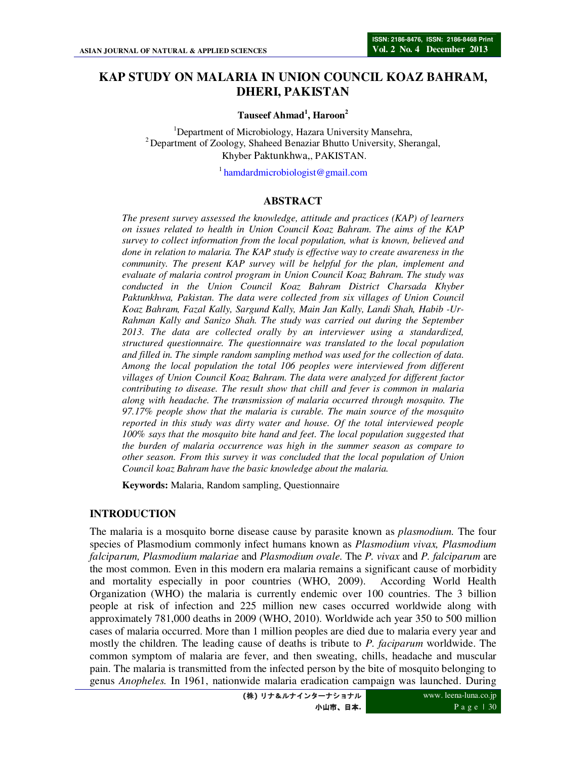# **KAP STUDY ON MALARIA IN UNION COUNCIL KOAZ BAHRAM, DHERI, PAKISTAN**

**Tauseef Ahmad<sup>1</sup> , Haroon<sup>2</sup>**

<sup>1</sup>Department of Microbiology, Hazara University Mansehra, <sup>2</sup> Department of Zoology, Shaheed Benaziar Bhutto University, Sherangal, Khyber Paktunkhwa,, PAKISTAN.

<sup>1</sup> hamdardmicrobiologist@gmail.com

#### **ABSTRACT**

*The present survey assessed the knowledge, attitude and practices (KAP) of learners on issues related to health in Union Council Koaz Bahram. The aims of the KAP survey to collect information from the local population, what is known, believed and done in relation to malaria. The KAP study is effective way to create awareness in the community. The present KAP survey will be helpful for the plan, implement and evaluate of malaria control program in Union Council Koaz Bahram. The study was conducted in the Union Council Koaz Bahram District Charsada Khyber Paktunkhwa, Pakistan. The data were collected from six villages of Union Council Koaz Bahram, Fazal Kally, Sargund Kally, Main Jan Kally, Landi Shah, Habib -Ur-Rahman Kally and Sanizo Shah. The study was carried out during the September 2013. The data are collected orally by an interviewer using a standardized, structured questionnaire. The questionnaire was translated to the local population and filled in. The simple random sampling method was used for the collection of data. Among the local population the total 106 peoples were interviewed from different villages of Union Council Koaz Bahram. The data were analyzed for different factor contributing to disease. The result show that chill and fever is common in malaria along with headache. The transmission of malaria occurred through mosquito. The 97.17% people show that the malaria is curable. The main source of the mosquito reported in this study was dirty water and house. Of the total interviewed people 100% says that the mosquito bite hand and feet. The local population suggested that the burden of malaria occurrence was high in the summer season as compare to other season. From this survey it was concluded that the local population of Union Council koaz Bahram have the basic knowledge about the malaria.* 

**Keywords:** Malaria, Random sampling, Questionnaire

## **INTRODUCTION**

The malaria is a mosquito borne disease cause by parasite known as *plasmodium.* The four species of Plasmodium commonly infect humans known as *Plasmodium vivax, Plasmodium falciparum, Plasmodium malariae* and *Plasmodium ovale.* The *P. vivax* and *P. falciparum* are the most common. Even in this modern era malaria remains a significant cause of morbidity and mortality especially in poor countries (WHO, 2009). According World Health Organization (WHO) the malaria is currently endemic over 100 countries. The 3 billion people at risk of infection and 225 million new cases occurred worldwide along with approximately 781,000 deaths in 2009 (WHO, 2010). Worldwide ach year 350 to 500 million cases of malaria occurred. More than 1 million peoples are died due to malaria every year and mostly the children. The leading cause of deaths is tribute to *P. faciparum* worldwide. The common symptom of malaria are fever, and then sweating, chills, headache and muscular pain. The malaria is transmitted from the infected person by the bite of mosquito belonging to genus *Anopheles.* In 1961, nationwide malaria eradication campaign was launched. During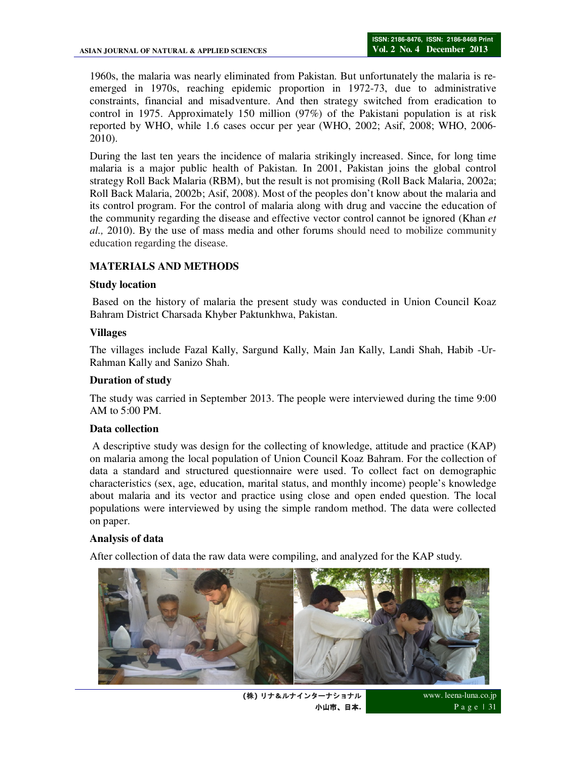1960s, the malaria was nearly eliminated from Pakistan. But unfortunately the malaria is reemerged in 1970s, reaching epidemic proportion in 1972-73, due to administrative constraints, financial and misadventure. And then strategy switched from eradication to control in 1975. Approximately 150 million (97%) of the Pakistani population is at risk reported by WHO, while 1.6 cases occur per year (WHO, 2002; Asif, 2008; WHO, 2006- 2010).

During the last ten years the incidence of malaria strikingly increased. Since, for long time malaria is a major public health of Pakistan. In 2001, Pakistan joins the global control strategy Roll Back Malaria (RBM), but the result is not promising (Roll Back Malaria, 2002a; Roll Back Malaria, 2002b; Asif, 2008). Most of the peoples don't know about the malaria and its control program. For the control of malaria along with drug and vaccine the education of the community regarding the disease and effective vector control cannot be ignored (Khan *et al.,* 2010). By the use of mass media and other forums should need to mobilize community education regarding the disease.

# **MATERIALS AND METHODS**

#### **Study location**

 Based on the history of malaria the present study was conducted in Union Council Koaz Bahram District Charsada Khyber Paktunkhwa, Pakistan.

#### **Villages**

The villages include Fazal Kally, Sargund Kally, Main Jan Kally, Landi Shah, Habib -Ur-Rahman Kally and Sanizo Shah.

#### **Duration of study**

The study was carried in September 2013. The people were interviewed during the time 9:00 AM to 5:00 PM.

## **Data collection**

 A descriptive study was design for the collecting of knowledge, attitude and practice (KAP) on malaria among the local population of Union Council Koaz Bahram. For the collection of data a standard and structured questionnaire were used. To collect fact on demographic characteristics (sex, age, education, marital status, and monthly income) people's knowledge about malaria and its vector and practice using close and open ended question. The local populations were interviewed by using the simple random method. The data were collected on paper.

#### **Analysis of data**

After collection of data the raw data were compiling, and analyzed for the KAP study.



**(**株**)** リナ&ルナインターナショナル 小山市、日本**.**

www. leena-luna.co.jp P a g e | 31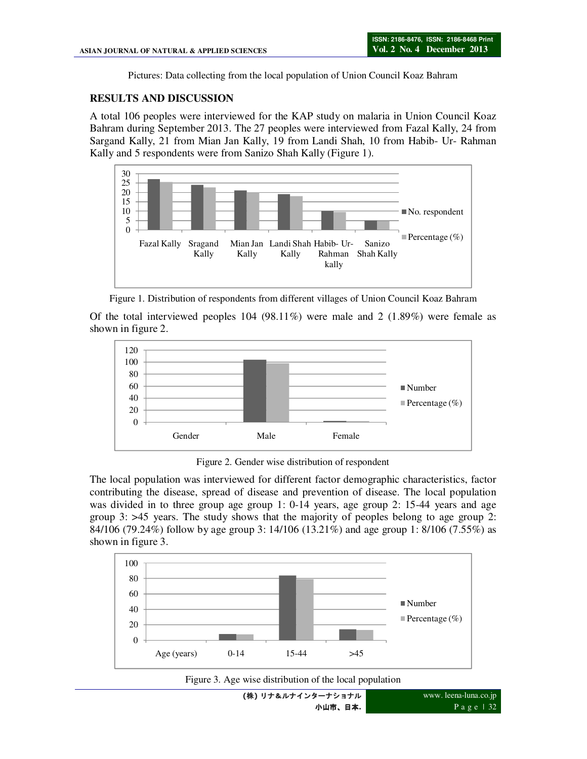Pictures: Data collecting from the local population of Union Council Koaz Bahram

# **RESULTS AND DISCUSSION**

A total 106 peoples were interviewed for the KAP study on malaria in Union Council Koaz Bahram during September 2013. The 27 peoples were interviewed from Fazal Kally, 24 from Sargand Kally, 21 from Mian Jan Kally, 19 from Landi Shah, 10 from Habib- Ur- Rahman Kally and 5 respondents were from Sanizo Shah Kally (Figure 1).





Of the total interviewed peoples  $104$  (98.11%) were male and 2 (1.89%) were female as shown in figure 2.



Figure 2. Gender wise distribution of respondent

The local population was interviewed for different factor demographic characteristics, factor contributing the disease, spread of disease and prevention of disease. The local population was divided in to three group age group 1: 0-14 years, age group 2: 15-44 years and age group 3: >45 years. The study shows that the majority of peoples belong to age group 2: 84/106 (79.24%) follow by age group 3: 14/106 (13.21%) and age group 1: 8/106 (7.55%) as shown in figure 3.







www. leena-luna.co.jp P a g e | 32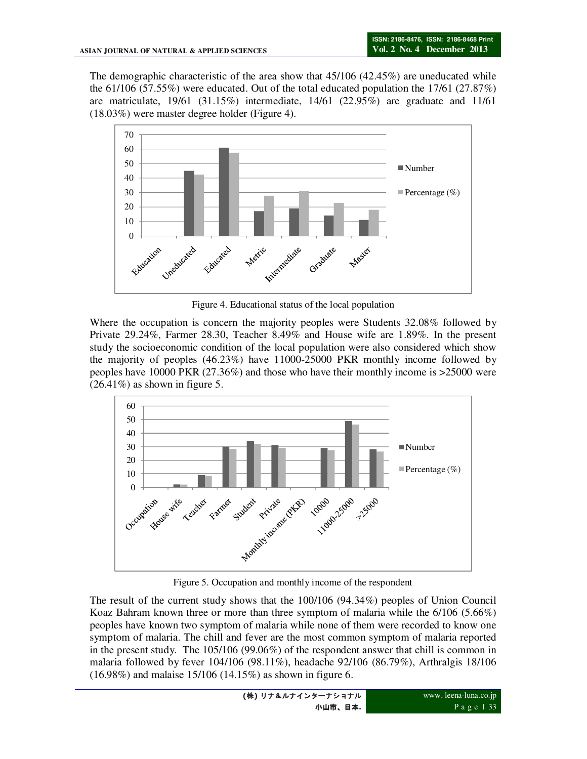The demographic characteristic of the area show that 45/106 (42.45%) are uneducated while the 61/106 (57.55%) were educated. Out of the total educated population the 17/61 (27.87%) are matriculate, 19/61 (31.15%) intermediate, 14/61 (22.95%) are graduate and 11/61 (18.03%) were master degree holder (Figure 4).



Figure 4. Educational status of the local population

Where the occupation is concern the majority peoples were Students 32.08% followed by Private 29.24%, Farmer 28.30, Teacher 8.49% and House wife are 1.89%. In the present study the socioeconomic condition of the local population were also considered which show the majority of peoples (46.23%) have 11000-25000 PKR monthly income followed by peoples have 10000 PKR (27.36%) and those who have their monthly income is >25000 were  $(26.41\%)$  as shown in figure 5.



Figure 5. Occupation and monthly income of the respondent

The result of the current study shows that the 100/106 (94.34%) peoples of Union Council Koaz Bahram known three or more than three symptom of malaria while the 6/106 (5.66%) peoples have known two symptom of malaria while none of them were recorded to know one symptom of malaria. The chill and fever are the most common symptom of malaria reported in the present study. The 105/106 (99.06%) of the respondent answer that chill is common in malaria followed by fever 104/106 (98.11%), headache 92/106 (86.79%), Arthralgis 18/106 (16.98%) and malaise 15/106 (14.15%) as shown in figure 6.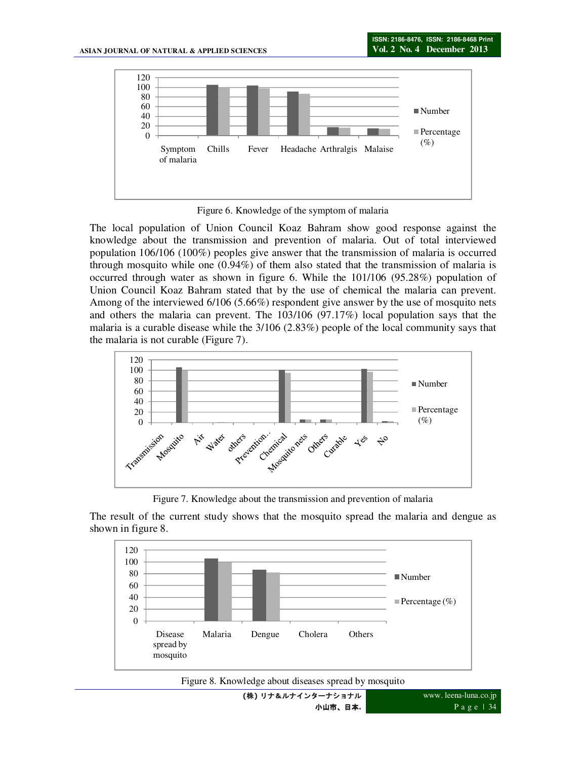

Figure 6. Knowledge of the symptom of malaria

The local population of Union Council Koaz Bahram show good response against the knowledge about the transmission and prevention of malaria. Out of total interviewed population 106/106 (100%) peoples give answer that the transmission of malaria is occurred through mosquito while one (0.94%) of them also stated that the transmission of malaria is occurred through water as shown in figure 6. While the 101/106 (95.28%) population of Union Council Koaz Bahram stated that by the use of chemical the malaria can prevent. Among of the interviewed 6/106 (5.66%) respondent give answer by the use of mosquito nets and others the malaria can prevent. The 103/106 (97.17%) local population says that the malaria is a curable disease while the 3/106 (2.83%) people of the local community says that the malaria is not curable (Figure 7).



Figure 7. Knowledge about the transmission and prevention of malaria

The result of the current study shows that the mosquito spread the malaria and dengue as shown in figure 8.



Figure 8. Knowledge about diseases spread by mosquito

**(**株**)** リナ&ルナインターナショナル 小山市、日本**.**

www. leena-luna.co.jp P a g e | 34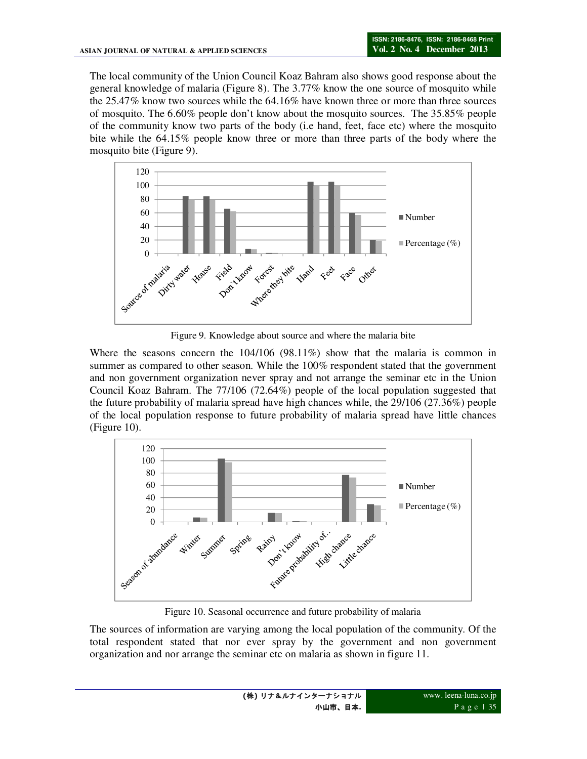The local community of the Union Council Koaz Bahram also shows good response about the general knowledge of malaria (Figure 8). The 3.77% know the one source of mosquito while the 25.47% know two sources while the 64.16% have known three or more than three sources of mosquito. The 6.60% people don't know about the mosquito sources. The 35.85% people of the community know two parts of the body (i.e hand, feet, face etc) where the mosquito bite while the 64.15% people know three or more than three parts of the body where the mosquito bite (Figure 9).



Figure 9. Knowledge about source and where the malaria bite

Where the seasons concern the 104/106 (98.11%) show that the malaria is common in summer as compared to other season. While the 100% respondent stated that the government and non government organization never spray and not arrange the seminar etc in the Union Council Koaz Bahram. The 77/106 (72.64%) people of the local population suggested that the future probability of malaria spread have high chances while, the 29/106 (27.36%) people of the local population response to future probability of malaria spread have little chances (Figure 10).



Figure 10. Seasonal occurrence and future probability of malaria

The sources of information are varying among the local population of the community. Of the total respondent stated that nor ever spray by the government and non government organization and nor arrange the seminar etc on malaria as shown in figure 11.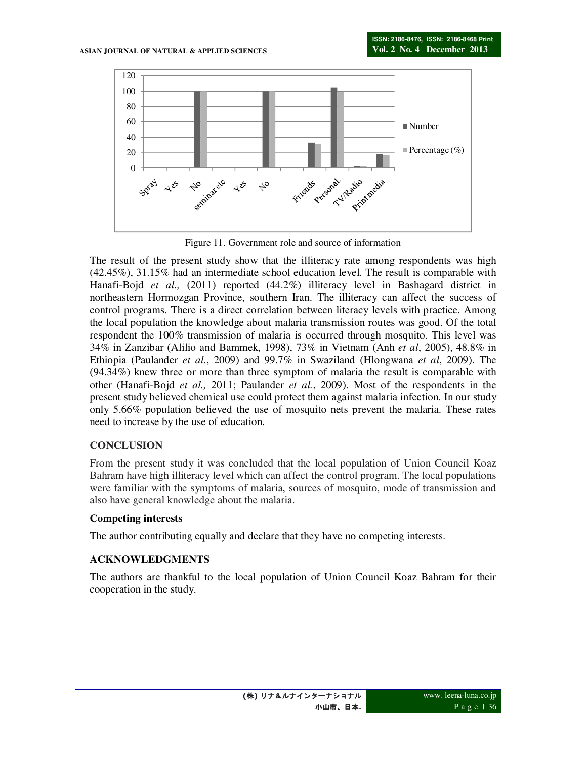

Figure 11. Government role and source of information

The result of the present study show that the illiteracy rate among respondents was high (42.45%), 31.15% had an intermediate school education level. The result is comparable with Hanafi-Bojd *et al.,* (2011) reported (44.2%) illiteracy level in Bashagard district in northeastern Hormozgan Province, southern Iran. The illiteracy can affect the success of control programs. There is a direct correlation between literacy levels with practice. Among the local population the knowledge about malaria transmission routes was good. Of the total respondent the 100% transmission of malaria is occurred through mosquito. This level was 34% in Zanzibar (Alilio and Bammek, 1998), 73% in Vietnam (Anh *et al*, 2005), 48.8% in Ethiopia (Paulander *et al.*, 2009) and 99.7% in Swaziland (Hlongwana *et al*, 2009). The (94.34%) knew three or more than three symptom of malaria the result is comparable with other (Hanafi-Bojd *et al.,* 2011; Paulander *et al.*, 2009). Most of the respondents in the present study believed chemical use could protect them against malaria infection. In our study only 5.66% population believed the use of mosquito nets prevent the malaria. These rates need to increase by the use of education.

# **CONCLUSION**

From the present study it was concluded that the local population of Union Council Koaz Bahram have high illiteracy level which can affect the control program. The local populations were familiar with the symptoms of malaria, sources of mosquito, mode of transmission and also have general knowledge about the malaria.

## **Competing interests**

The author contributing equally and declare that they have no competing interests.

# **ACKNOWLEDGMENTS**

The authors are thankful to the local population of Union Council Koaz Bahram for their cooperation in the study.